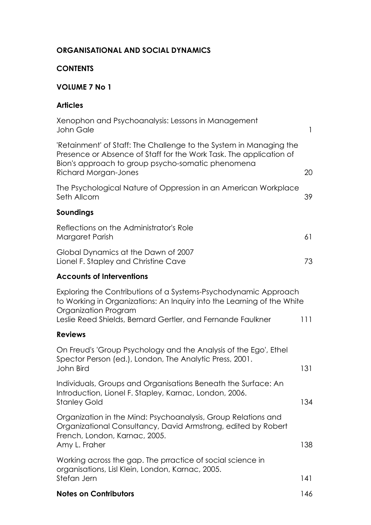### **ORGANISATIONAL AND SOCIAL DYNAMICS**

#### **CONTENTS**

# **VOLUME 7 No 1**

### **Articles**

| Xenophon and Psychoanalysis: Lessons in Management<br>John Gale                                                                                                                                                                  | 1   |
|----------------------------------------------------------------------------------------------------------------------------------------------------------------------------------------------------------------------------------|-----|
| 'Retainment' of Staff: The Challenge to the System in Managing the<br>Presence or Absence of Staff for the Work Task. The application of<br>Bion's approach to group psycho-somatic phenomena<br>Richard Morgan-Jones            | 20  |
| The Psychological Nature of Oppression in an American Workplace<br>Seth Allcorn                                                                                                                                                  | 39  |
| Soundings                                                                                                                                                                                                                        |     |
| Reflections on the Administrator's Role<br>Margaret Parish                                                                                                                                                                       | 61  |
| Global Dynamics at the Dawn of 2007<br>Lionel F. Stapley and Christine Cave                                                                                                                                                      | 73  |
| <b>Accounts of Interventions</b>                                                                                                                                                                                                 |     |
| Exploring the Contributions of a Systems-Psychodynamic Approach<br>to Working in Organizations: An Inquiry into the Learning of the White<br>Organization Program<br>Leslie Reed Shields, Bernard Gertler, and Fernande Faulkner | 111 |
| <b>Reviews</b>                                                                                                                                                                                                                   |     |
| On Freud's 'Group Psychology and the Analysis of the Ego', Ethel<br>Spector Person (ed.), London, The Analytic Press, 2001.<br>John Bird                                                                                         | 131 |
| Individuals, Groups and Organisations Beneath the Surface: An<br>Introduction, Lionel F. Stapley, Karnac, London, 2006<br><b>Stanley Gold</b>                                                                                    | 134 |
| Organization in the Mind: Psychoanalysis, Group Relations and<br>Organizational Consultancy, David Armstrong, edited by Robert<br>French, London, Karnac, 2005.<br>Amy L. Fraher                                                 | 138 |
| Working across the gap. The prractice of social science in<br>organisations, Lisl Klein, London, Karnac, 2005.<br>Stefan Jern                                                                                                    | 141 |
| <b>Notes on Contributors</b>                                                                                                                                                                                                     | 146 |